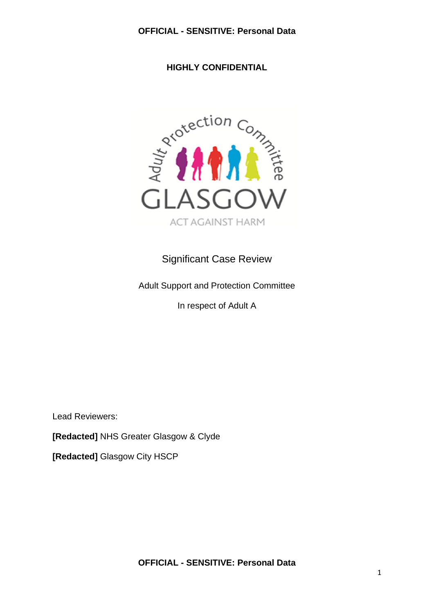**HIGHLY CONFIDENTIAL**



# Significant Case Review

Adult Support and Protection Committee

In respect of Adult A

Lead Reviewers:

**[Redacted]** NHS Greater Glasgow & Clyde

**[Redacted]** Glasgow City HSCP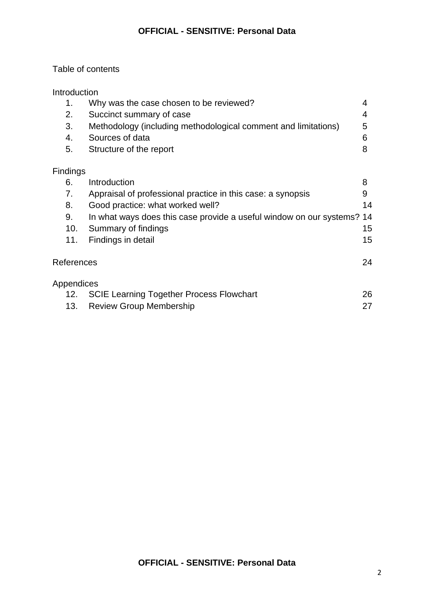# Table of contents

| <b>Introduction</b> |                                                                |    |
|---------------------|----------------------------------------------------------------|----|
|                     | Why was the case chosen to be reviewed?                        |    |
| 2.                  | Succinct summary of case                                       | 4  |
| 3.                  | Methodology (including methodological comment and limitations) | 5  |
| 4.                  | Sources of data                                                | ิค |
| 5.                  | Structure of the report                                        |    |
|                     |                                                                |    |

# Findings

| 6.               | Introduction                                                           | 8  |
|------------------|------------------------------------------------------------------------|----|
| 7.               | Appraisal of professional practice in this case: a synopsis            | 9  |
| 8.               | Good practice: what worked well?                                       | 14 |
| 9.               | In what ways does this case provide a useful window on our systems? 14 |    |
| 10.              | Summary of findings                                                    | 15 |
| 11.              | Findings in detail                                                     | 15 |
|                  |                                                                        |    |
| References<br>24 |                                                                        |    |
|                  |                                                                        |    |
| Appendices       |                                                                        |    |
| 12.              | <b>SCIE Learning Together Process Flowchart</b>                        | 26 |
| 13.              | <b>Review Group Membership</b>                                         | 27 |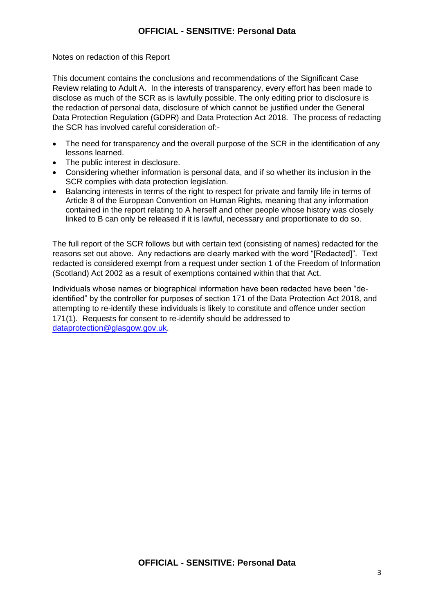#### Notes on redaction of this Report

This document contains the conclusions and recommendations of the Significant Case Review relating to Adult A. In the interests of transparency, every effort has been made to disclose as much of the SCR as is lawfully possible. The only editing prior to disclosure is the redaction of personal data, disclosure of which cannot be justified under the General Data Protection Regulation (GDPR) and Data Protection Act 2018. The process of redacting the SCR has involved careful consideration of:-

- The need for transparency and the overall purpose of the SCR in the identification of any lessons learned.
- The public interest in disclosure.
- Considering whether information is personal data, and if so whether its inclusion in the SCR complies with data protection legislation.
- Balancing interests in terms of the right to respect for private and family life in terms of Article 8 of the European Convention on Human Rights, meaning that any information contained in the report relating to A herself and other people whose history was closely linked to B can only be released if it is lawful, necessary and proportionate to do so.

The full report of the SCR follows but with certain text (consisting of names) redacted for the reasons set out above. Any redactions are clearly marked with the word "[Redacted]". Text redacted is considered exempt from a request under section 1 of the Freedom of Information (Scotland) Act 2002 as a result of exemptions contained within that that Act.

Individuals whose names or biographical information have been redacted have been "deidentified" by the controller for purposes of section 171 of the Data Protection Act 2018, and attempting to re-identify these individuals is likely to constitute and offence under section 171(1). Requests for consent to re-identify should be addressed to [dataprotection@glasgow.gov.uk.](mailto:dataprotection@glasgow.gov.uk)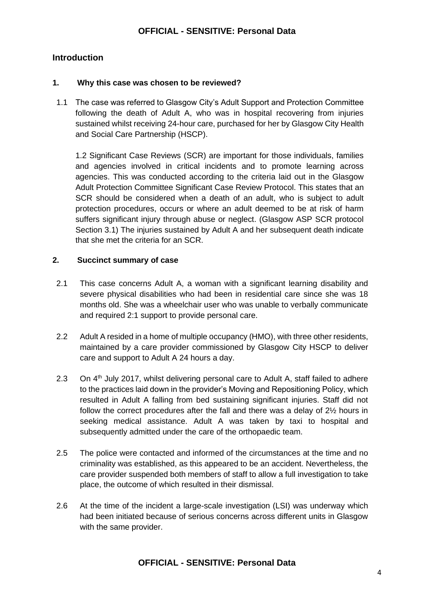# **Introduction**

#### **1. Why this case was chosen to be reviewed?**

1.1 The case was referred to Glasgow City's Adult Support and Protection Committee following the death of Adult A, who was in hospital recovering from injuries sustained whilst receiving 24-hour care, purchased for her by Glasgow City Health and Social Care Partnership (HSCP).

1.2 Significant Case Reviews (SCR) are important for those individuals, families and agencies involved in critical incidents and to promote learning across agencies. This was conducted according to the criteria laid out in the Glasgow Adult Protection Committee Significant Case Review Protocol. This states that an SCR should be considered when a death of an adult, who is subject to adult protection procedures, occurs or where an adult deemed to be at risk of harm suffers significant injury through abuse or neglect. (Glasgow ASP SCR protocol Section 3.1) The injuries sustained by Adult A and her subsequent death indicate that she met the criteria for an SCR.

#### **2. Succinct summary of case**

- 2.1 This case concerns Adult A, a woman with a significant learning disability and severe physical disabilities who had been in residential care since she was 18 months old. She was a wheelchair user who was unable to verbally communicate and required 2:1 support to provide personal care.
- 2.2 Adult A resided in a home of multiple occupancy (HMO), with three other residents, maintained by a care provider commissioned by Glasgow City HSCP to deliver care and support to Adult A 24 hours a day.
- 2.3 On 4<sup>th</sup> July 2017, whilst delivering personal care to Adult A, staff failed to adhere to the practices laid down in the provider's Moving and Repositioning Policy, which resulted in Adult A falling from bed sustaining significant injuries. Staff did not follow the correct procedures after the fall and there was a delay of 2½ hours in seeking medical assistance. Adult A was taken by taxi to hospital and subsequently admitted under the care of the orthopaedic team.
- 2.5 The police were contacted and informed of the circumstances at the time and no criminality was established, as this appeared to be an accident. Nevertheless, the care provider suspended both members of staff to allow a full investigation to take place, the outcome of which resulted in their dismissal.
- 2.6 At the time of the incident a large-scale investigation (LSI) was underway which had been initiated because of serious concerns across different units in Glasgow with the same provider.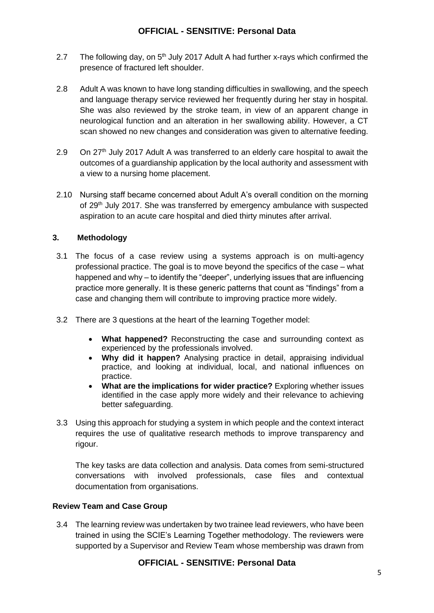- 2.7 The following day, on  $5<sup>th</sup>$  July 2017 Adult A had further x-rays which confirmed the presence of fractured left shoulder.
- 2.8 Adult A was known to have long standing difficulties in swallowing, and the speech and language therapy service reviewed her frequently during her stay in hospital. She was also reviewed by the stroke team, in view of an apparent change in neurological function and an alteration in her swallowing ability. However, a CT scan showed no new changes and consideration was given to alternative feeding.
- 2.9 On  $27<sup>th</sup>$  July 2017 Adult A was transferred to an elderly care hospital to await the outcomes of a guardianship application by the local authority and assessment with a view to a nursing home placement.
- 2.10 Nursing staff became concerned about Adult A's overall condition on the morning of 29th July 2017. She was transferred by emergency ambulance with suspected aspiration to an acute care hospital and died thirty minutes after arrival.

#### **3. Methodology**

- 3.1 The focus of a case review using a systems approach is on multi-agency professional practice. The goal is to move beyond the specifics of the case – what happened and why – to identify the "deeper", underlying issues that are influencing practice more generally. It is these generic patterns that count as "findings" from a case and changing them will contribute to improving practice more widely.
- 3.2 There are 3 questions at the heart of the learning Together model:
	- **What happened?** Reconstructing the case and surrounding context as experienced by the professionals involved.
	- **Why did it happen?** Analysing practice in detail, appraising individual practice, and looking at individual, local, and national influences on practice.
	- **What are the implications for wider practice?** Exploring whether issues identified in the case apply more widely and their relevance to achieving better safeguarding.
- 3.3 Using this approach for studying a system in which people and the context interact requires the use of qualitative research methods to improve transparency and rigour.

The key tasks are data collection and analysis. Data comes from semi-structured conversations with involved professionals, case files and contextual documentation from organisations.

#### **Review Team and Case Group**

3.4 The learning review was undertaken by two trainee lead reviewers, who have been trained in using the SCIE's Learning Together methodology. The reviewers were supported by a Supervisor and Review Team whose membership was drawn from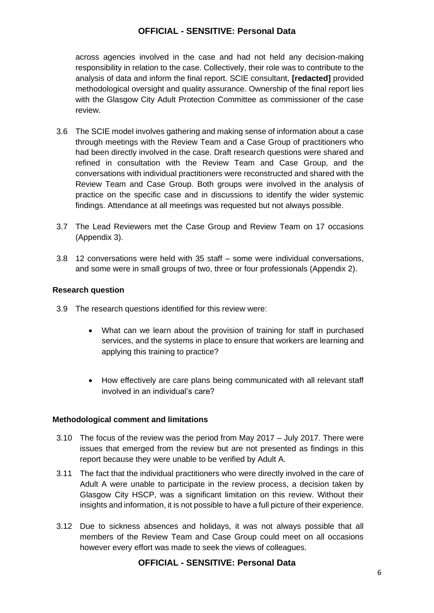across agencies involved in the case and had not held any decision-making responsibility in relation to the case. Collectively, their role was to contribute to the analysis of data and inform the final report. SCIE consultant, **[redacted]** provided methodological oversight and quality assurance. Ownership of the final report lies with the Glasgow City Adult Protection Committee as commissioner of the case review.

- 3.6 The SCIE model involves gathering and making sense of information about a case through meetings with the Review Team and a Case Group of practitioners who had been directly involved in the case. Draft research questions were shared and refined in consultation with the Review Team and Case Group, and the conversations with individual practitioners were reconstructed and shared with the Review Team and Case Group. Both groups were involved in the analysis of practice on the specific case and in discussions to identify the wider systemic findings. Attendance at all meetings was requested but not always possible.
- 3.7 The Lead Reviewers met the Case Group and Review Team on 17 occasions (Appendix 3).
- 3.8 12 conversations were held with 35 staff some were individual conversations, and some were in small groups of two, three or four professionals (Appendix 2).

#### **Research question**

- 3.9 The research questions identified for this review were:
	- What can we learn about the provision of training for staff in purchased services, and the systems in place to ensure that workers are learning and applying this training to practice?
	- How effectively are care plans being communicated with all relevant staff involved in an individual's care?

#### **Methodological comment and limitations**

- 3.10 The focus of the review was the period from May 2017 July 2017. There were issues that emerged from the review but are not presented as findings in this report because they were unable to be verified by Adult A.
- 3.11 The fact that the individual practitioners who were directly involved in the care of Adult A were unable to participate in the review process, a decision taken by Glasgow City HSCP, was a significant limitation on this review. Without their insights and information, it is not possible to have a full picture of their experience.
- 3.12 Due to sickness absences and holidays, it was not always possible that all members of the Review Team and Case Group could meet on all occasions however every effort was made to seek the views of colleagues.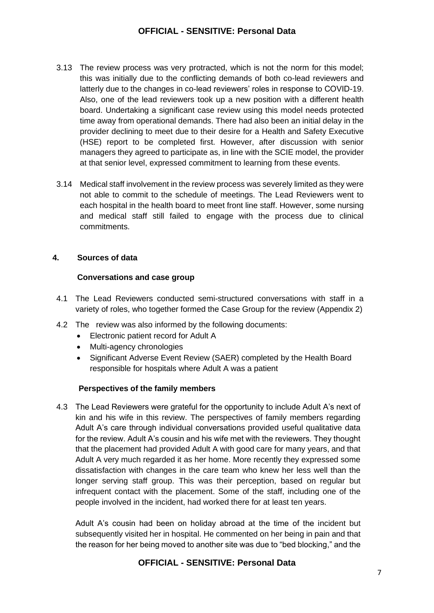- 3.13 The review process was very protracted, which is not the norm for this model; this was initially due to the conflicting demands of both co-lead reviewers and latterly due to the changes in co-lead reviewers' roles in response to COVID-19. Also, one of the lead reviewers took up a new position with a different health board. Undertaking a significant case review using this model needs protected time away from operational demands. There had also been an initial delay in the provider declining to meet due to their desire for a Health and Safety Executive (HSE) report to be completed first. However, after discussion with senior managers they agreed to participate as, in line with the SCIE model, the provider at that senior level, expressed commitment to learning from these events.
- 3.14 Medical staff involvement in the review process was severely limited as they were not able to commit to the schedule of meetings. The Lead Reviewers went to each hospital in the health board to meet front line staff. However, some nursing and medical staff still failed to engage with the process due to clinical commitments.

#### **4. Sources of data**

#### **Conversations and case group**

- 4.1 The Lead Reviewers conducted semi-structured conversations with staff in a variety of roles, who together formed the Case Group for the review (Appendix 2)
- 4.2 The review was also informed by the following documents:
	- Electronic patient record for Adult A
	- Multi-agency chronologies
	- Significant Adverse Event Review (SAER) completed by the Health Board responsible for hospitals where Adult A was a patient

#### **Perspectives of the family members**

4.3 The Lead Reviewers were grateful for the opportunity to include Adult A's next of kin and his wife in this review. The perspectives of family members regarding Adult A's care through individual conversations provided useful qualitative data for the review. Adult A's cousin and his wife met with the reviewers. They thought that the placement had provided Adult A with good care for many years, and that Adult A very much regarded it as her home. More recently they expressed some dissatisfaction with changes in the care team who knew her less well than the longer serving staff group. This was their perception, based on regular but infrequent contact with the placement. Some of the staff, including one of the people involved in the incident, had worked there for at least ten years.

Adult A's cousin had been on holiday abroad at the time of the incident but subsequently visited her in hospital. He commented on her being in pain and that the reason for her being moved to another site was due to "bed blocking," and the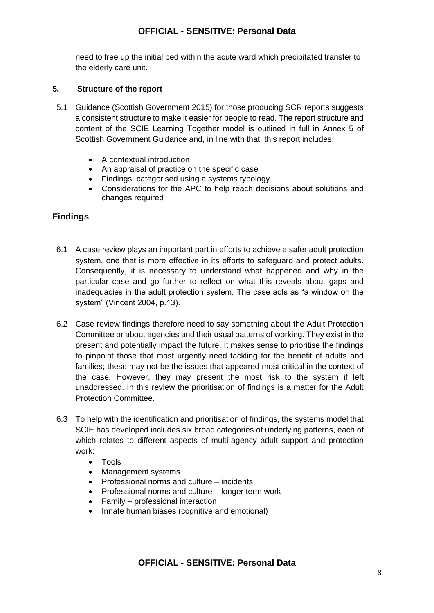need to free up the initial bed within the acute ward which precipitated transfer to the elderly care unit.

### **5. Structure of the report**

- 5.1 Guidance (Scottish Government 2015) for those producing SCR reports suggests a consistent structure to make it easier for people to read. The report structure and content of the SCIE Learning Together model is outlined in full in Annex 5 of Scottish Government Guidance and, in line with that, this report includes:
	- A contextual introduction
	- An appraisal of practice on the specific case
	- Findings, categorised using a systems typology
	- Considerations for the APC to help reach decisions about solutions and changes required

# **Findings**

- 6.1 A case review plays an important part in efforts to achieve a safer adult protection system, one that is more effective in its efforts to safeguard and protect adults. Consequently, it is necessary to understand what happened and why in the particular case and go further to reflect on what this reveals about gaps and inadequacies in the adult protection system. The case acts as "a window on the system" (Vincent 2004, p.13).
- 6.2 Case review findings therefore need to say something about the Adult Protection Committee or about agencies and their usual patterns of working. They exist in the present and potentially impact the future. It makes sense to prioritise the findings to pinpoint those that most urgently need tackling for the benefit of adults and families; these may not be the issues that appeared most critical in the context of the case. However, they may present the most risk to the system if left unaddressed. In this review the prioritisation of findings is a matter for the Adult Protection Committee.
- 6.3 To help with the identification and prioritisation of findings, the systems model that SCIE has developed includes six broad categories of underlying patterns, each of which relates to different aspects of multi-agency adult support and protection work:
	- Tools
	- Management systems
	- Professional norms and culture incidents
	- Professional norms and culture longer term work
	- Family professional interaction
	- Innate human biases (cognitive and emotional)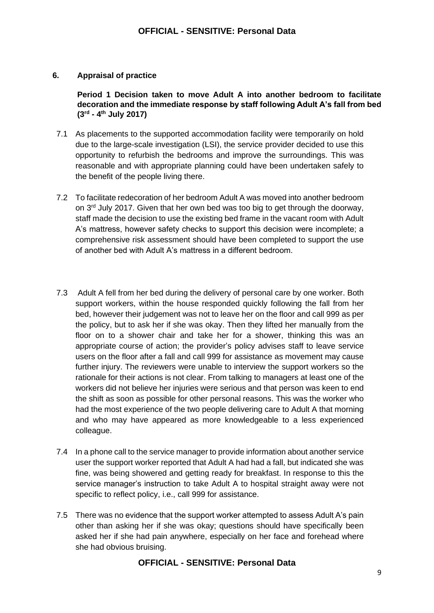#### **6. Appraisal of practice**

**Period 1 Decision taken to move Adult A into another bedroom to facilitate decoration and the immediate response by staff following Adult A's fall from bed (3rd - 4 th July 2017)**

- 7.1 As placements to the supported accommodation facility were temporarily on hold due to the large-scale investigation (LSI), the service provider decided to use this opportunity to refurbish the bedrooms and improve the surroundings. This was reasonable and with appropriate planning could have been undertaken safely to the benefit of the people living there.
- 7.2 To facilitate redecoration of her bedroom Adult A was moved into another bedroom on  $3<sup>rd</sup>$  July 2017. Given that her own bed was too big to get through the doorway. staff made the decision to use the existing bed frame in the vacant room with Adult A's mattress, however safety checks to support this decision were incomplete; a comprehensive risk assessment should have been completed to support the use of another bed with Adult A's mattress in a different bedroom.
- 7.3 Adult A fell from her bed during the delivery of personal care by one worker. Both support workers, within the house responded quickly following the fall from her bed, however their judgement was not to leave her on the floor and call 999 as per the policy, but to ask her if she was okay. Then they lifted her manually from the floor on to a shower chair and take her for a shower, thinking this was an appropriate course of action; the provider's policy advises staff to leave service users on the floor after a fall and call 999 for assistance as movement may cause further injury. The reviewers were unable to interview the support workers so the rationale for their actions is not clear. From talking to managers at least one of the workers did not believe her injuries were serious and that person was keen to end the shift as soon as possible for other personal reasons. This was the worker who had the most experience of the two people delivering care to Adult A that morning and who may have appeared as more knowledgeable to a less experienced colleague.
- 7.4 In a phone call to the service manager to provide information about another service user the support worker reported that Adult A had had a fall, but indicated she was fine, was being showered and getting ready for breakfast. In response to this the service manager's instruction to take Adult A to hospital straight away were not specific to reflect policy, i.e., call 999 for assistance.
- 7.5 There was no evidence that the support worker attempted to assess Adult A's pain other than asking her if she was okay; questions should have specifically been asked her if she had pain anywhere, especially on her face and forehead where she had obvious bruising.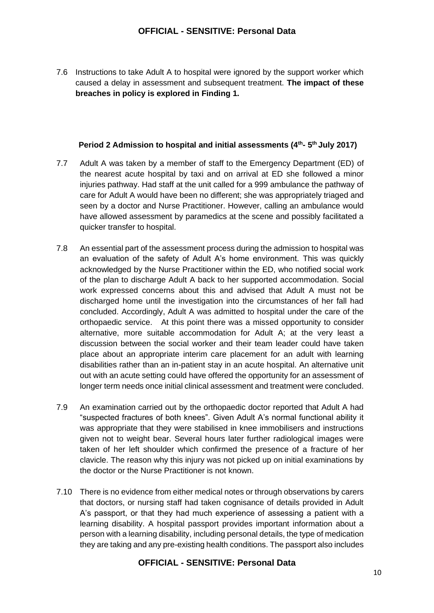7.6 Instructions to take Adult A to hospital were ignored by the support worker which caused a delay in assessment and subsequent treatment. **The impact of these breaches in policy is explored in Finding 1.**

#### **Period 2 Admission to hospital and initial assessments (4th - 5 th July 2017)**

- 7.7 Adult A was taken by a member of staff to the Emergency Department (ED) of the nearest acute hospital by taxi and on arrival at ED she followed a minor injuries pathway. Had staff at the unit called for a 999 ambulance the pathway of care for Adult A would have been no different; she was appropriately triaged and seen by a doctor and Nurse Practitioner. However, calling an ambulance would have allowed assessment by paramedics at the scene and possibly facilitated a quicker transfer to hospital.
- 7.8 An essential part of the assessment process during the admission to hospital was an evaluation of the safety of Adult A's home environment. This was quickly acknowledged by the Nurse Practitioner within the ED, who notified social work of the plan to discharge Adult A back to her supported accommodation. Social work expressed concerns about this and advised that Adult A must not be discharged home until the investigation into the circumstances of her fall had concluded. Accordingly, Adult A was admitted to hospital under the care of the orthopaedic service. At this point there was a missed opportunity to consider alternative, more suitable accommodation for Adult A; at the very least a discussion between the social worker and their team leader could have taken place about an appropriate interim care placement for an adult with learning disabilities rather than an in-patient stay in an acute hospital. An alternative unit out with an acute setting could have offered the opportunity for an assessment of longer term needs once initial clinical assessment and treatment were concluded.
- 7.9 An examination carried out by the orthopaedic doctor reported that Adult A had "suspected fractures of both knees". Given Adult A's normal functional ability it was appropriate that they were stabilised in knee immobilisers and instructions given not to weight bear. Several hours later further radiological images were taken of her left shoulder which confirmed the presence of a fracture of her clavicle. The reason why this injury was not picked up on initial examinations by the doctor or the Nurse Practitioner is not known.
- 7.10 There is no evidence from either medical notes or through observations by carers that doctors, or nursing staff had taken cognisance of details provided in Adult A's passport, or that they had much experience of assessing a patient with a learning disability. A hospital passport provides important information about a person with a learning disability, including personal details, the type of medication they are taking and any pre-existing health conditions. The passport also includes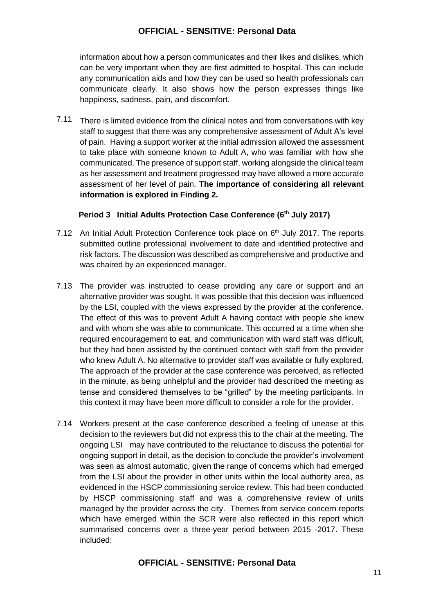information about how a person communicates and their likes and dislikes, which can be very important when they are first admitted to hospital. This can include any communication aids and how they can be used so health professionals can communicate clearly. It also shows how the person expresses things like happiness, sadness, pain, and discomfort.

7.11 There is limited evidence from the clinical notes and from conversations with key staff to suggest that there was any comprehensive assessment of Adult A's level of pain. Having a support worker at the initial admission allowed the assessment to take place with someone known to Adult A, who was familiar with how she communicated. The presence of support staff, working alongside the clinical team as her assessment and treatment progressed may have allowed a more accurate assessment of her level of pain. **The importance of considering all relevant information is explored in Finding 2.** 

#### **Period 3 Initial Adults Protection Case Conference (6th July 2017)**

- 7.12 An Initial Adult Protection Conference took place on 6<sup>th</sup> July 2017. The reports submitted outline professional involvement to date and identified protective and risk factors. The discussion was described as comprehensive and productive and was chaired by an experienced manager.
- 7.13 The provider was instructed to cease providing any care or support and an alternative provider was sought. It was possible that this decision was influenced by the LSI, coupled with the views expressed by the provider at the conference. The effect of this was to prevent Adult A having contact with people she knew and with whom she was able to communicate. This occurred at a time when she required encouragement to eat, and communication with ward staff was difficult, but they had been assisted by the continued contact with staff from the provider who knew Adult A. No alternative to provider staff was available or fully explored. The approach of the provider at the case conference was perceived, as reflected in the minute, as being unhelpful and the provider had described the meeting as tense and considered themselves to be "grilled" by the meeting participants. In this context it may have been more difficult to consider a role for the provider.
- 7.14 Workers present at the case conference described a feeling of unease at this decision to the reviewers but did not express this to the chair at the meeting. The ongoing LSI may have contributed to the reluctance to discuss the potential for ongoing support in detail, as the decision to conclude the provider's involvement was seen as almost automatic, given the range of concerns which had emerged from the LSI about the provider in other units within the local authority area, as evidenced in the HSCP commissioning service review. This had been conducted by HSCP commissioning staff and was a comprehensive review of units managed by the provider across the city. Themes from service concern reports which have emerged within the SCR were also reflected in this report which summarised concerns over a three-year period between 2015 -2017. These included: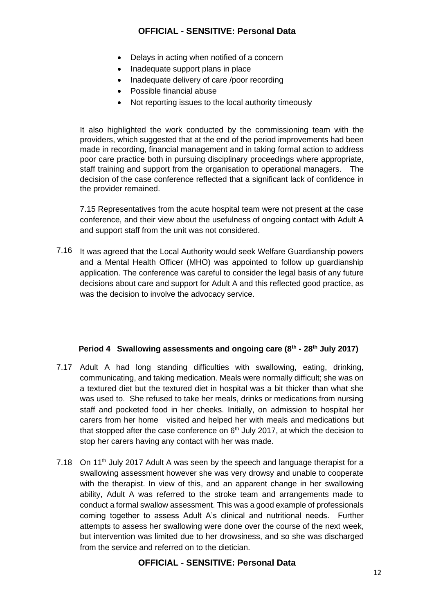- Delays in acting when notified of a concern
- Inadequate support plans in place
- Inadequate delivery of care /poor recording
- Possible financial abuse
- Not reporting issues to the local authority timeously

It also highlighted the work conducted by the commissioning team with the providers, which suggested that at the end of the period improvements had been made in recording, financial management and in taking formal action to address poor care practice both in pursuing disciplinary proceedings where appropriate, staff training and support from the organisation to operational managers. The decision of the case conference reflected that a significant lack of confidence in the provider remained.

7.15 Representatives from the acute hospital team were not present at the case conference, and their view about the usefulness of ongoing contact with Adult A and support staff from the unit was not considered.

7.16 It was agreed that the Local Authority would seek Welfare Guardianship powers and a Mental Health Officer (MHO) was appointed to follow up guardianship application. The conference was careful to consider the legal basis of any future decisions about care and support for Adult A and this reflected good practice, as was the decision to involve the advocacy service.

#### **Period 4 Swallowing assessments and ongoing care (8th - 28th July 2017)**

- 7.17 Adult A had long standing difficulties with swallowing, eating, drinking, communicating, and taking medication. Meals were normally difficult; she was on a textured diet but the textured diet in hospital was a bit thicker than what she was used to. She refused to take her meals, drinks or medications from nursing staff and pocketed food in her cheeks. Initially, on admission to hospital her carers from her home visited and helped her with meals and medications but that stopped after the case conference on  $6<sup>th</sup>$  July 2017, at which the decision to stop her carers having any contact with her was made.
- 7.18 On 11<sup>th</sup> July 2017 Adult A was seen by the speech and language therapist for a swallowing assessment however she was very drowsy and unable to cooperate with the therapist. In view of this, and an apparent change in her swallowing ability, Adult A was referred to the stroke team and arrangements made to conduct a formal swallow assessment. This was a good example of professionals coming together to assess Adult A's clinical and nutritional needs. Further attempts to assess her swallowing were done over the course of the next week, but intervention was limited due to her drowsiness, and so she was discharged from the service and referred on to the dietician.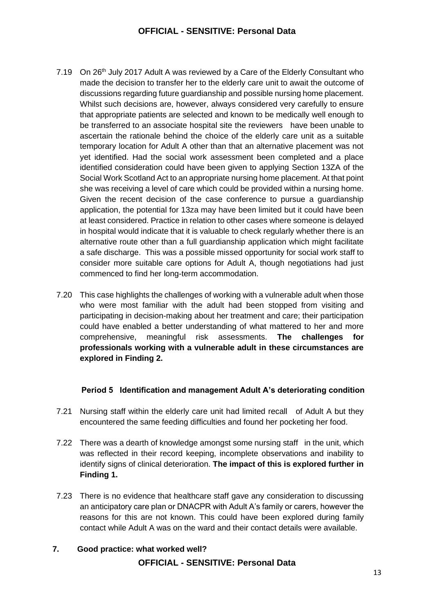- 7.19 On 26<sup>th</sup> July 2017 Adult A was reviewed by a Care of the Elderly Consultant who made the decision to transfer her to the elderly care unit to await the outcome of discussions regarding future guardianship and possible nursing home placement. Whilst such decisions are, however, always considered very carefully to ensure that appropriate patients are selected and known to be medically well enough to be transferred to an associate hospital site the reviewers have been unable to ascertain the rationale behind the choice of the elderly care unit as a suitable temporary location for Adult A other than that an alternative placement was not yet identified. Had the social work assessment been completed and a place identified consideration could have been given to applying Section 13ZA of the Social Work Scotland Act to an appropriate nursing home placement. At that point she was receiving a level of care which could be provided within a nursing home. Given the recent decision of the case conference to pursue a guardianship application, the potential for 13za may have been limited but it could have been at least considered. Practice in relation to other cases where someone is delayed in hospital would indicate that it is valuable to check regularly whether there is an alternative route other than a full guardianship application which might facilitate a safe discharge. This was a possible missed opportunity for social work staff to consider more suitable care options for Adult A, though negotiations had just commenced to find her long-term accommodation.
- 7.20 This case highlights the challenges of working with a vulnerable adult when those who were most familiar with the adult had been stopped from visiting and participating in decision-making about her treatment and care; their participation could have enabled a better understanding of what mattered to her and more comprehensive, meaningful risk assessments. **The challenges for professionals working with a vulnerable adult in these circumstances are explored in Finding 2.**

#### **Period 5 Identification and management Adult A's deteriorating condition**

- 7.21 Nursing staff within the elderly care unit had limited recall of Adult A but they encountered the same feeding difficulties and found her pocketing her food.
- 7.22 There was a dearth of knowledge amongst some nursing staff in the unit, which was reflected in their record keeping, incomplete observations and inability to identify signs of clinical deterioration. **The impact of this is explored further in Finding 1.**
- 7.23 There is no evidence that healthcare staff gave any consideration to discussing an anticipatory care plan or DNACPR with Adult A's family or carers, however the reasons for this are not known. This could have been explored during family contact while Adult A was on the ward and their contact details were available.
- **7. Good practice: what worked well?**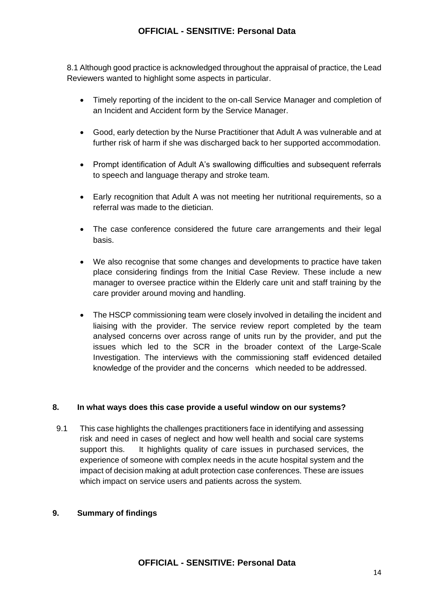8.1 Although good practice is acknowledged throughout the appraisal of practice, the Lead Reviewers wanted to highlight some aspects in particular.

- Timely reporting of the incident to the on-call Service Manager and completion of an Incident and Accident form by the Service Manager.
- Good, early detection by the Nurse Practitioner that Adult A was vulnerable and at further risk of harm if she was discharged back to her supported accommodation.
- Prompt identification of Adult A's swallowing difficulties and subsequent referrals to speech and language therapy and stroke team.
- Early recognition that Adult A was not meeting her nutritional requirements, so a referral was made to the dietician.
- The case conference considered the future care arrangements and their legal basis.
- We also recognise that some changes and developments to practice have taken place considering findings from the Initial Case Review. These include a new manager to oversee practice within the Elderly care unit and staff training by the care provider around moving and handling.
- The HSCP commissioning team were closely involved in detailing the incident and liaising with the provider. The service review report completed by the team analysed concerns over across range of units run by the provider, and put the issues which led to the SCR in the broader context of the Large-Scale Investigation. The interviews with the commissioning staff evidenced detailed knowledge of the provider and the concerns which needed to be addressed.

#### **8. In what ways does this case provide a useful window on our systems?**

9.1 This case highlights the challenges practitioners face in identifying and assessing risk and need in cases of neglect and how well health and social care systems support this. It highlights quality of care issues in purchased services, the experience of someone with complex needs in the acute hospital system and the impact of decision making at adult protection case conferences. These are issues which impact on service users and patients across the system.

#### **9. Summary of findings**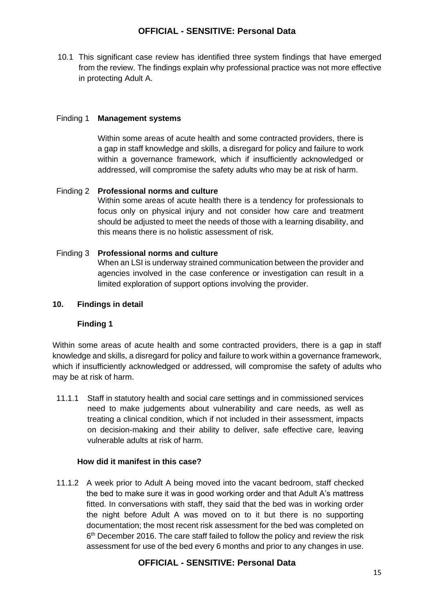10.1 This significant case review has identified three system findings that have emerged from the review. The findings explain why professional practice was not more effective in protecting Adult A.

#### Finding 1 **Management systems**

Within some areas of acute health and some contracted providers, there is a gap in staff knowledge and skills, a disregard for policy and failure to work within a governance framework, which if insufficiently acknowledged or addressed, will compromise the safety adults who may be at risk of harm.

#### Finding 2 **Professional norms and culture**

Within some areas of acute health there is a tendency for professionals to focus only on physical injury and not consider how care and treatment should be adjusted to meet the needs of those with a learning disability, and this means there is no holistic assessment of risk.

#### Finding 3 **Professional norms and culture**

When an LSI is underway strained communication between the provider and agencies involved in the case conference or investigation can result in a limited exploration of support options involving the provider.

#### **10. Findings in detail**

# **Finding 1**

Within some areas of acute health and some contracted providers, there is a gap in staff knowledge and skills, a disregard for policy and failure to work within a governance framework, which if insufficiently acknowledged or addressed, will compromise the safety of adults who may be at risk of harm.

11.1.1 Staff in statutory health and social care settings and in commissioned services need to make judgements about vulnerability and care needs, as well as treating a clinical condition, which if not included in their assessment, impacts on decision-making and their ability to deliver, safe effective care, leaving vulnerable adults at risk of harm.

#### **How did it manifest in this case?**

11.1.2 A week prior to Adult A being moved into the vacant bedroom, staff checked the bed to make sure it was in good working order and that Adult A's mattress fitted. In conversations with staff, they said that the bed was in working order the night before Adult A was moved on to it but there is no supporting documentation; the most recent risk assessment for the bed was completed on 6<sup>th</sup> December 2016. The care staff failed to follow the policy and review the risk assessment for use of the bed every 6 months and prior to any changes in use.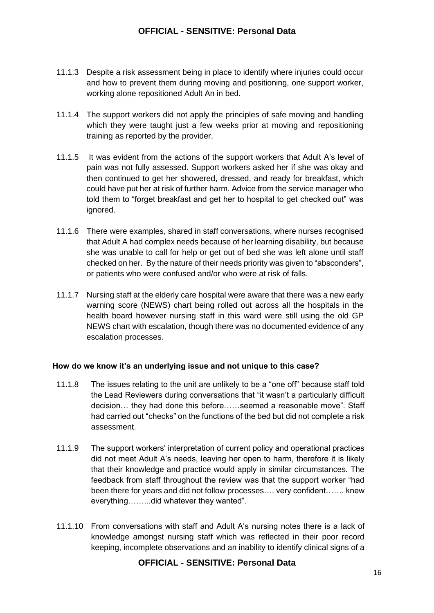- 11.1.3 Despite a risk assessment being in place to identify where injuries could occur and how to prevent them during moving and positioning, one support worker, working alone repositioned Adult An in bed.
- 11.1.4 The support workers did not apply the principles of safe moving and handling which they were taught just a few weeks prior at moving and repositioning training as reported by the provider.
- 11.1.5 It was evident from the actions of the support workers that Adult A's level of pain was not fully assessed. Support workers asked her if she was okay and then continued to get her showered, dressed, and ready for breakfast, which could have put her at risk of further harm. Advice from the service manager who told them to "forget breakfast and get her to hospital to get checked out" was ignored.
- 11.1.6 There were examples, shared in staff conversations, where nurses recognised that Adult A had complex needs because of her learning disability, but because she was unable to call for help or get out of bed she was left alone until staff checked on her. By the nature of their needs priority was given to "absconders", or patients who were confused and/or who were at risk of falls.
- 11.1.7 Nursing staff at the elderly care hospital were aware that there was a new early warning score (NEWS) chart being rolled out across all the hospitals in the health board however nursing staff in this ward were still using the old GP NEWS chart with escalation, though there was no documented evidence of any escalation processes.

#### **How do we know it's an underlying issue and not unique to this case?**

- 11.1.8 The issues relating to the unit are unlikely to be a "one off" because staff told the Lead Reviewers during conversations that "it wasn't a particularly difficult decision… they had done this before……seemed a reasonable move". Staff had carried out "checks" on the functions of the bed but did not complete a risk assessment.
- 11.1.9 The support workers' interpretation of current policy and operational practices did not meet Adult A's needs, leaving her open to harm, therefore it is likely that their knowledge and practice would apply in similar circumstances. The feedback from staff throughout the review was that the support worker "had been there for years and did not follow processes…. very confident……. knew everything……...did whatever they wanted".
- 11.1.10 From conversations with staff and Adult A's nursing notes there is a lack of knowledge amongst nursing staff which was reflected in their poor record keeping, incomplete observations and an inability to identify clinical signs of a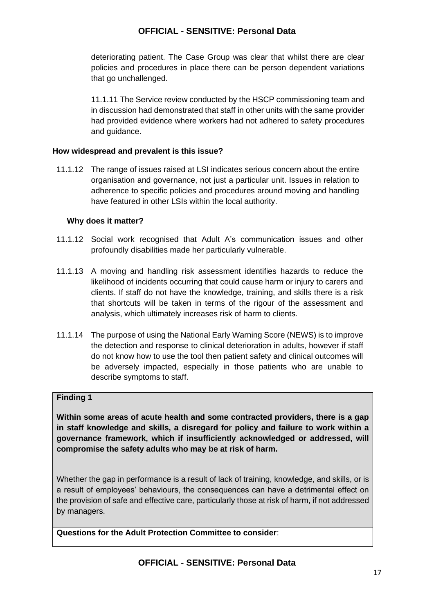deteriorating patient. The Case Group was clear that whilst there are clear policies and procedures in place there can be person dependent variations that go unchallenged.

11.1.11 The Service review conducted by the HSCP commissioning team and in discussion had demonstrated that staff in other units with the same provider had provided evidence where workers had not adhered to safety procedures and guidance.

#### **How widespread and prevalent is this issue?**

11.1.12 The range of issues raised at LSI indicates serious concern about the entire organisation and governance, not just a particular unit. Issues in relation to adherence to specific policies and procedures around moving and handling have featured in other LSIs within the local authority.

#### **Why does it matter?**

- 11.1.12 Social work recognised that Adult A's communication issues and other profoundly disabilities made her particularly vulnerable.
- 11.1.13 A moving and handling risk assessment identifies hazards to reduce the likelihood of incidents occurring that could cause harm or injury to carers and clients. If staff do not have the knowledge, training, and skills there is a risk that shortcuts will be taken in terms of the rigour of the assessment and analysis, which ultimately increases risk of harm to clients.
- 11.1.14 The purpose of using the National Early Warning Score (NEWS) is to improve the detection and response to clinical deterioration in adults, however if staff do not know how to use the tool then patient safety and clinical outcomes will be adversely impacted, especially in those patients who are unable to describe symptoms to staff.

# **Finding 1**

**Within some areas of acute health and some contracted providers, there is a gap in staff knowledge and skills, a disregard for policy and failure to work within a governance framework, which if insufficiently acknowledged or addressed, will compromise the safety adults who may be at risk of harm.** 

Whether the gap in performance is a result of lack of training, knowledge, and skills, or is a result of employees' behaviours, the consequences can have a detrimental effect on the provision of safe and effective care, particularly those at risk of harm, if not addressed by managers.

**Questions for the Adult Protection Committee to consider**: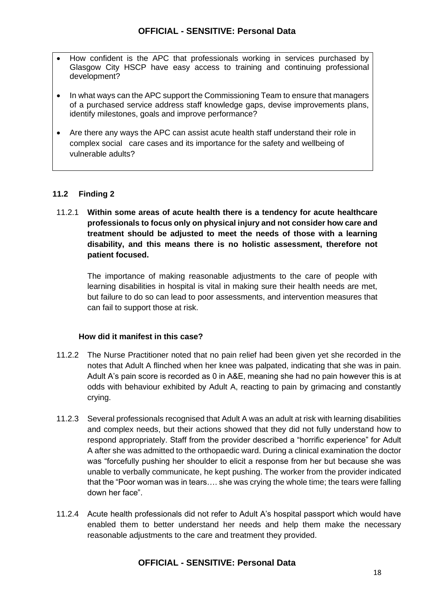- How confident is the APC that professionals working in services purchased by Glasgow City HSCP have easy access to training and continuing professional development?
- In what ways can the APC support the Commissioning Team to ensure that managers of a purchased service address staff knowledge gaps, devise improvements plans, identify milestones, goals and improve performance?
- Are there any ways the APC can assist acute health staff understand their role in complex social care cases and its importance for the safety and wellbeing of vulnerable adults?

# **11.2 Finding 2**

11.2.1 **Within some areas of acute health there is a tendency for acute healthcare professionals to focus only on physical injury and not consider how care and treatment should be adjusted to meet the needs of those with a learning disability, and this means there is no holistic assessment, therefore not patient focused.**

The importance of making reasonable adjustments to the care of people with learning disabilities in hospital is vital in making sure their health needs are met, but failure to do so can lead to poor assessments, and intervention measures that can fail to support those at risk.

#### **How did it manifest in this case?**

- 11.2.2 The Nurse Practitioner noted that no pain relief had been given yet she recorded in the notes that Adult A flinched when her knee was palpated, indicating that she was in pain. Adult A's pain score is recorded as 0 in A&E, meaning she had no pain however this is at odds with behaviour exhibited by Adult A, reacting to pain by grimacing and constantly crying.
- 11.2.3 Several professionals recognised that Adult A was an adult at risk with learning disabilities and complex needs, but their actions showed that they did not fully understand how to respond appropriately. Staff from the provider described a "horrific experience" for Adult A after she was admitted to the orthopaedic ward. During a clinical examination the doctor was "forcefully pushing her shoulder to elicit a response from her but because she was unable to verbally communicate, he kept pushing. The worker from the provider indicated that the "Poor woman was in tears…. she was crying the whole time; the tears were falling down her face".
- 11.2.4 Acute health professionals did not refer to Adult A's hospital passport which would have enabled them to better understand her needs and help them make the necessary reasonable adjustments to the care and treatment they provided.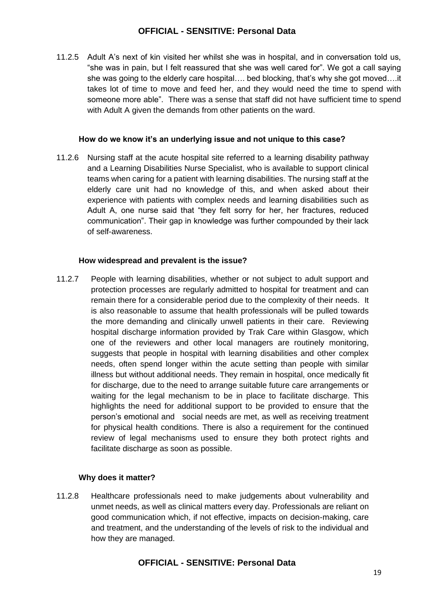11.2.5 Adult A's next of kin visited her whilst she was in hospital, and in conversation told us, "she was in pain, but I felt reassured that she was well cared for". We got a call saying she was going to the elderly care hospital…. bed blocking, that's why she got moved….it takes lot of time to move and feed her, and they would need the time to spend with someone more able". There was a sense that staff did not have sufficient time to spend with Adult A given the demands from other patients on the ward.

#### **How do we know it's an underlying issue and not unique to this case?**

11.2.6 Nursing staff at the acute hospital site referred to a learning disability pathway and a Learning Disabilities Nurse Specialist, who is available to support clinical teams when caring for a patient with learning disabilities. The nursing staff at the elderly care unit had no knowledge of this, and when asked about their experience with patients with complex needs and learning disabilities such as Adult A, one nurse said that "they felt sorry for her, her fractures, reduced communication". Their gap in knowledge was further compounded by their lack of self-awareness.

#### **How widespread and prevalent is the issue?**

11.2.7 People with learning disabilities, whether or not subject to adult support and protection processes are regularly admitted to hospital for treatment and can remain there for a considerable period due to the complexity of their needs. It is also reasonable to assume that health professionals will be pulled towards the more demanding and clinically unwell patients in their care. Reviewing hospital discharge information provided by Trak Care within Glasgow, which one of the reviewers and other local managers are routinely monitoring, suggests that people in hospital with learning disabilities and other complex needs, often spend longer within the acute setting than people with similar illness but without additional needs. They remain in hospital, once medically fit for discharge, due to the need to arrange suitable future care arrangements or waiting for the legal mechanism to be in place to facilitate discharge. This highlights the need for additional support to be provided to ensure that the person's emotional and social needs are met, as well as receiving treatment for physical health conditions. There is also a requirement for the continued review of legal mechanisms used to ensure they both protect rights and facilitate discharge as soon as possible.

# **Why does it matter?**

11.2.8 Healthcare professionals need to make judgements about vulnerability and unmet needs, as well as clinical matters every day. Professionals are reliant on good communication which, if not effective, impacts on decision-making, care and treatment, and the understanding of the levels of risk to the individual and how they are managed.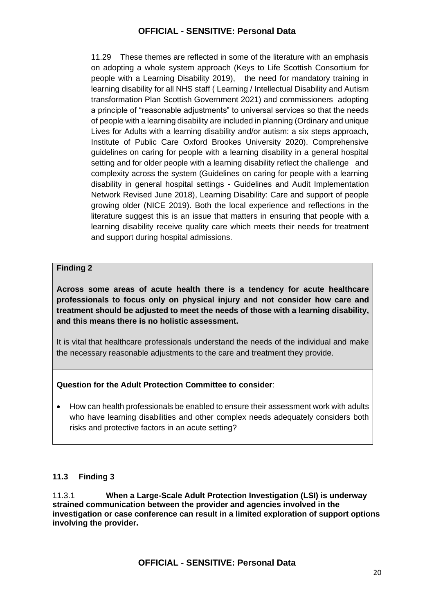11.29 These themes are reflected in some of the literature with an emphasis on adopting a whole system approach (Keys to Life Scottish Consortium for people with a Learning Disability 2019), the need for mandatory training in learning disability for all NHS staff ( Learning / Intellectual Disability and Autism transformation Plan Scottish Government 2021) and commissioners adopting a principle of "reasonable adjustments" to universal services so that the needs of people with a learning disability are included in planning (Ordinary and unique Lives for Adults with a learning disability and/or autism: a six steps approach, Institute of Public Care Oxford Brookes University 2020). Comprehensive guidelines on caring for people with a learning disability in a general hospital setting and for older people with a learning disability reflect the challenge and complexity across the system (Guidelines on caring for people with a learning disability in general hospital settings - Guidelines and Audit Implementation Network Revised June 2018), Learning Disability: Care and support of people growing older (NICE 2019). Both the local experience and reflections in the literature suggest this is an issue that matters in ensuring that people with a learning disability receive quality care which meets their needs for treatment and support during hospital admissions.

#### **Finding 2**

**Across some areas of acute health there is a tendency for acute healthcare professionals to focus only on physical injury and not consider how care and treatment should be adjusted to meet the needs of those with a learning disability, and this means there is no holistic assessment.**

It is vital that healthcare professionals understand the needs of the individual and make the necessary reasonable adjustments to the care and treatment they provide.

# **Question for the Adult Protection Committee to consider**:

• How can health professionals be enabled to ensure their assessment work with adults who have learning disabilities and other complex needs adequately considers both risks and protective factors in an acute setting?

# **11.3 Finding 3**

11.3.1 **When a Large-Scale Adult Protection Investigation (LSI) is underway strained communication between the provider and agencies involved in the investigation or case conference can result in a limited exploration of support options involving the provider.**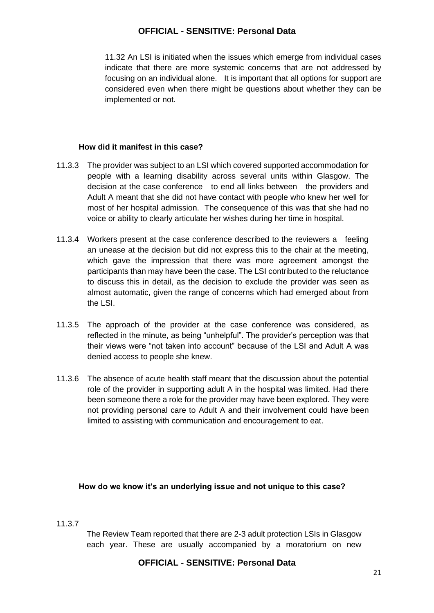11.32 An LSI is initiated when the issues which emerge from individual cases indicate that there are more systemic concerns that are not addressed by focusing on an individual alone. It is important that all options for support are considered even when there might be questions about whether they can be implemented or not.

#### **How did it manifest in this case?**

- 11.3.3 The provider was subject to an LSI which covered supported accommodation for people with a learning disability across several units within Glasgow. The decision at the case conference to end all links between the providers and Adult A meant that she did not have contact with people who knew her well for most of her hospital admission. The consequence of this was that she had no voice or ability to clearly articulate her wishes during her time in hospital.
- 11.3.4 Workers present at the case conference described to the reviewers a feeling an unease at the decision but did not express this to the chair at the meeting, which gave the impression that there was more agreement amongst the participants than may have been the case. The LSI contributed to the reluctance to discuss this in detail, as the decision to exclude the provider was seen as almost automatic, given the range of concerns which had emerged about from the LSI.
- 11.3.5 The approach of the provider at the case conference was considered, as reflected in the minute, as being "unhelpful". The provider's perception was that their views were "not taken into account" because of the LSI and Adult A was denied access to people she knew.
- 11.3.6 The absence of acute health staff meant that the discussion about the potential role of the provider in supporting adult A in the hospital was limited. Had there been someone there a role for the provider may have been explored. They were not providing personal care to Adult A and their involvement could have been limited to assisting with communication and encouragement to eat.

#### **How do we know it's an underlying issue and not unique to this case?**

# 11.3.7

The Review Team reported that there are 2-3 adult protection LSIs in Glasgow each year. These are usually accompanied by a moratorium on new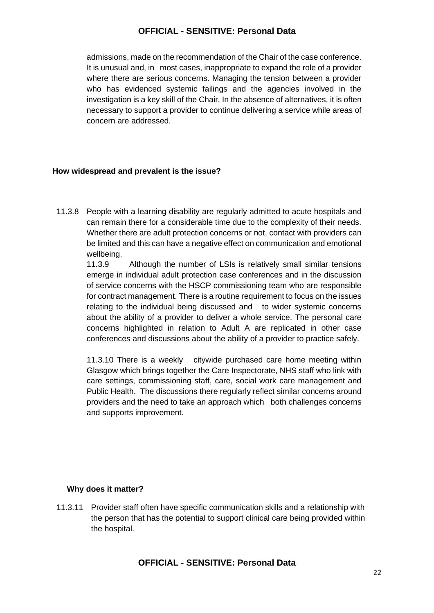admissions, made on the recommendation of the Chair of the case conference. It is unusual and, in most cases, inappropriate to expand the role of a provider where there are serious concerns. Managing the tension between a provider who has evidenced systemic failings and the agencies involved in the investigation is a key skill of the Chair. In the absence of alternatives, it is often necessary to support a provider to continue delivering a service while areas of concern are addressed.

#### **How widespread and prevalent is the issue?**

11.3.8 People with a learning disability are regularly admitted to acute hospitals and can remain there for a considerable time due to the complexity of their needs. Whether there are adult protection concerns or not, contact with providers can be limited and this can have a negative effect on communication and emotional wellbeing.

11.3.9 Although the number of LSIs is relatively small similar tensions emerge in individual adult protection case conferences and in the discussion of service concerns with the HSCP commissioning team who are responsible for contract management. There is a routine requirement to focus on the issues relating to the individual being discussed and to wider systemic concerns about the ability of a provider to deliver a whole service. The personal care concerns highlighted in relation to Adult A are replicated in other case conferences and discussions about the ability of a provider to practice safely.

11.3.10 There is a weekly citywide purchased care home meeting within Glasgow which brings together the Care Inspectorate, NHS staff who link with care settings, commissioning staff, care, social work care management and Public Health. The discussions there regularly reflect similar concerns around providers and the need to take an approach which both challenges concerns and supports improvement.

#### **Why does it matter?**

11.3.11 Provider staff often have specific communication skills and a relationship with the person that has the potential to support clinical care being provided within the hospital.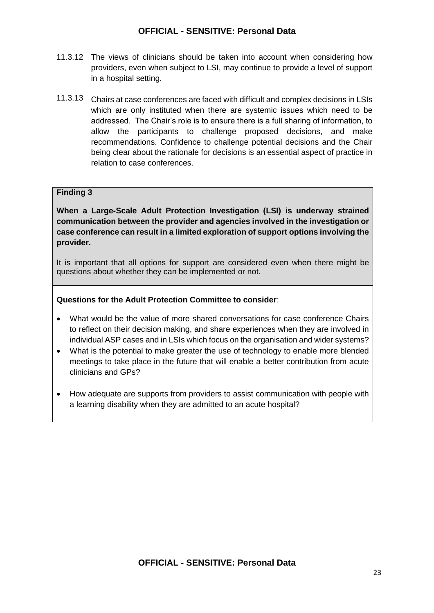- 11.3.12 The views of clinicians should be taken into account when considering how providers, even when subject to LSI, may continue to provide a level of support in a hospital setting.
- 11.3.13 Chairs at case conferences are faced with difficult and complex decisions in LSIs which are only instituted when there are systemic issues which need to be addressed. The Chair's role is to ensure there is a full sharing of information, to allow the participants to challenge proposed decisions, and make recommendations. Confidence to challenge potential decisions and the Chair being clear about the rationale for decisions is an essential aspect of practice in relation to case conferences.

### **Finding 3**

**When a Large-Scale Adult Protection Investigation (LSI) is underway strained communication between the provider and agencies involved in the investigation or case conference can result in a limited exploration of support options involving the provider.** 

It is important that all options for support are considered even when there might be questions about whether they can be implemented or not.

#### **Questions for the Adult Protection Committee to consider**:

- What would be the value of more shared conversations for case conference Chairs to reflect on their decision making, and share experiences when they are involved in individual ASP cases and in LSIs which focus on the organisation and wider systems?
- What is the potential to make greater the use of technology to enable more blended meetings to take place in the future that will enable a better contribution from acute clinicians and GPs?
- How adequate are supports from providers to assist communication with people with a learning disability when they are admitted to an acute hospital?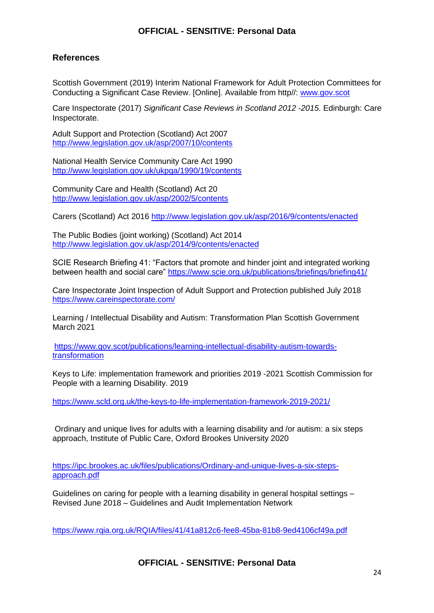# **References**

Scottish Government (2019) Interim National Framework for Adult Protection Committees for Conducting a Significant Case Review. [Online]. Available from http//: [www.gov.scot](http://www.gov.scot/)

Care Inspectorate (2017) *Significant Case Reviews in Scotland 2012 -2015*. Edinburgh: Care Inspectorate.

Adult Support and Protection (Scotland) Act 2007 <http://www.legislation.gov.uk/asp/2007/10/contents>

National Health Service Community Care Act 1990 <http://www.legislation.gov.uk/ukpga/1990/19/contents>

Community Care and Health (Scotland) Act 20 <http://www.legislation.gov.uk/asp/2002/5/contents>

Carers (Scotland) Act 2016<http://www.legislation.gov.uk/asp/2016/9/contents/enacted>

The Public Bodies (joint working) (Scotland) Act 2014 <http://www.legislation.gov.uk/asp/2014/9/contents/enacted>

SCIE Research Briefing 41: "Factors that promote and hinder joint and integrated working between health and social care"<https://www.scie.org.uk/publications/briefings/briefing41/>

Care Inspectorate Joint Inspection of Adult Support and Protection published July 2018 <https://www.careinspectorate.com/>

Learning / Intellectual Disability and Autism: Transformation Plan Scottish Government March 2021

[https://www.gov.scot/publications/learning-intellectual-disability-autism-towards](https://www.gov.scot/publications/learning-intellectual-disability-autism-towards-transformation)[transformation](https://www.gov.scot/publications/learning-intellectual-disability-autism-towards-transformation)

Keys to Life: implementation framework and priorities 2019 -2021 Scottish Commission for People with a learning Disability. 2019

<https://www.scld.org.uk/the-keys-to-life-implementation-framework-2019-2021/>

Ordinary and unique lives for adults with a learning disability and /or autism: a six steps approach, Institute of Public Care, Oxford Brookes University 2020

[https://ipc.brookes.ac.uk/files/publications/Ordinary-and-unique-lives-a-six-steps](https://ipc.brookes.ac.uk/files/publications/Ordinary-and-unique-lives-a-six-steps-approach.pdf)[approach.pdf](https://ipc.brookes.ac.uk/files/publications/Ordinary-and-unique-lives-a-six-steps-approach.pdf)

Guidelines on caring for people with a learning disability in general hospital settings – Revised June 2018 – Guidelines and Audit Implementation Network

<https://www.rqia.org.uk/RQIA/files/41/41a812c6-fee8-45ba-81b8-9ed4106cf49a.pdf>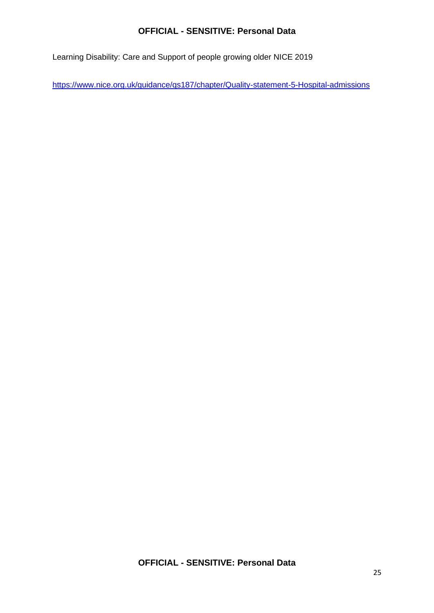Learning Disability: Care and Support of people growing older NICE 2019

<https://www.nice.org.uk/guidance/qs187/chapter/Quality-statement-5-Hospital-admissions>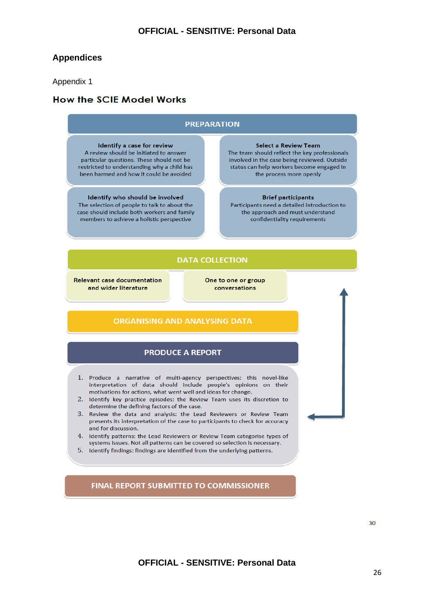# **Appendices**

#### Appendix 1

# **How the SCIE Model Works**



FINAL REPORT SUBMITTED TO COMMISSIONER

30